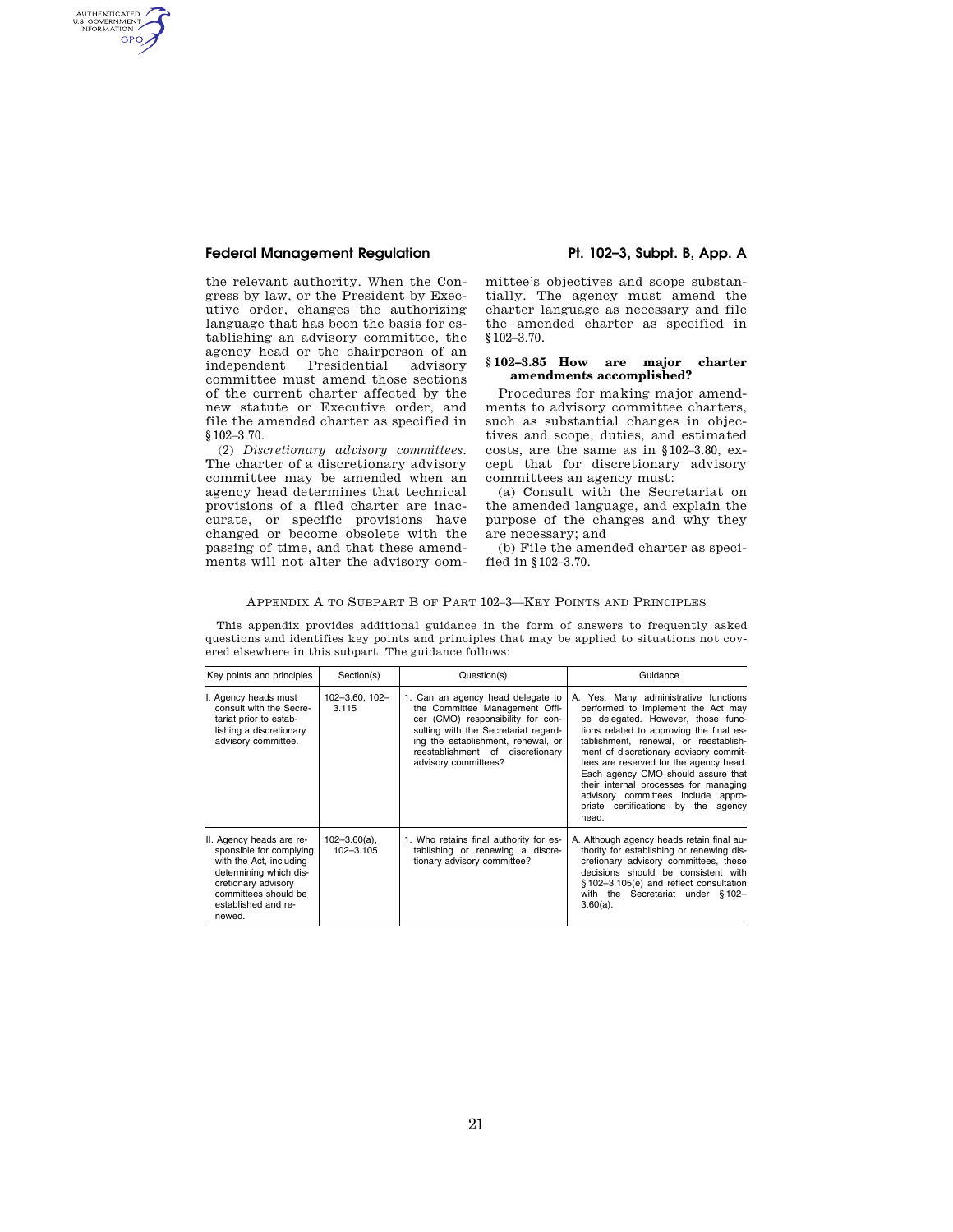# Federal Management Regulation **Pt. 102–3, Subpt. B, App. A**

AUTHENTICATED<br>U.S. GOVERNMENT<br>INFORMATION GPO

> the relevant authority. When the Congress by law, or the President by Executive order, changes the authorizing language that has been the basis for establishing an advisory committee, the agency head or the chairperson of an independent Presidential advisory committee must amend those sections of the current charter affected by the new statute or Executive order, and file the amended charter as specified in §102–3.70.

> (2) *Discretionary advisory committees.*  The charter of a discretionary advisory committee may be amended when an agency head determines that technical provisions of a filed charter are inaccurate, or specific provisions have changed or become obsolete with the passing of time, and that these amendments will not alter the advisory com-

mittee's objectives and scope substantially. The agency must amend the charter language as necessary and file the amended charter as specified in §102–3.70.

# **§ 102–3.85 How are major charter amendments accomplished?**

Procedures for making major amendments to advisory committee charters, such as substantial changes in objectives and scope, duties, and estimated costs, are the same as in §102–3.80, except that for discretionary advisory committees an agency must:

(a) Consult with the Secretariat on the amended language, and explain the purpose of the changes and why they are necessary; and

(b) File the amended charter as specified in §102–3.70.

### APPENDIX A TO SUBPART B OF PART 102–3—KEY POINTS AND PRINCIPLES

This appendix provides additional guidance in the form of answers to frequently asked questions and identifies key points and principles that may be applied to situations not covered elsewhere in this subpart. The guidance follows:

| Key points and principles                                                                                                                                                                | Section(s)                     | Question(s)                                                                                                                                                                                                                                        | Guidance                                                                                                                                                                                                                                                                                                                                                                                                                                                        |
|------------------------------------------------------------------------------------------------------------------------------------------------------------------------------------------|--------------------------------|----------------------------------------------------------------------------------------------------------------------------------------------------------------------------------------------------------------------------------------------------|-----------------------------------------------------------------------------------------------------------------------------------------------------------------------------------------------------------------------------------------------------------------------------------------------------------------------------------------------------------------------------------------------------------------------------------------------------------------|
| I. Agency heads must<br>consult with the Secre-<br>tariat prior to estab-<br>lishing a discretionary<br>advisory committee.                                                              | 102-3.60, 102-<br>3.115        | 1. Can an agency head delegate to<br>the Committee Management Offi-<br>cer (CMO) responsibility for con-<br>sulting with the Secretariat regard-<br>ing the establishment, renewal, or<br>reestablishment of discretionary<br>advisory committees? | A. Yes. Many administrative functions<br>performed to implement the Act may<br>be delegated. However, those func-<br>tions related to approving the final es-<br>tablishment, renewal, or reestablish-<br>ment of discretionary advisory commit-<br>tees are reserved for the agency head.<br>Each agency CMO should assure that<br>their internal processes for managing<br>advisory committees include appro-<br>priate certifications by the agency<br>head. |
| II. Agency heads are re-<br>sponsible for complying<br>with the Act, including<br>determining which dis-<br>cretionary advisory<br>committees should be<br>established and re-<br>newed. | $102 - 3.60(a)$ ,<br>102-3.105 | 1. Who retains final authority for es-<br>tablishing or renewing a discre-<br>tionary advisory committee?                                                                                                                                          | A. Although agency heads retain final au-<br>thority for establishing or renewing dis-<br>cretionary advisory committees, these<br>decisions should be consistent with<br>§102-3.105(e) and reflect consultation<br>with the Secretariat under §102-<br>$3.60(a)$ .                                                                                                                                                                                             |